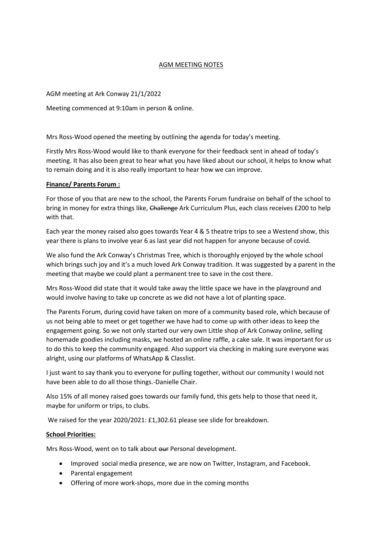# AGM MEETING NOTES

## AGM meeting at Ark Conway 21/1/2022

Meeting commenced at 9:10am in person & online.

Mrs Ross-Wood opened the meeting by outlining the agenda for today's meeting.

Firstly Mrs Ross-Wood would like to thank everyone for their feedback sent in ahead of today's meeting. It has also been great to hear what you have liked about our school, it helps to know what to remain doing and it is also really important to hear how we can improve.

## **Finance/ Parents Forum :**

For those of you that are new to the school, the Parents Forum fundraise on behalf of the school to bring in money for extra things like, Challenge Ark Curriculum Plus, each class receives £200 to help with that.

Each year the money raised also goes towards Year 4 & 5 theatre trips to see a Westend show, this year there is plans to involve year 6 as last year did not happen for anyone because of covid.

We also fund the Ark Conway's Christmas Tree, which is thoroughly enjoyed by the whole school which brings such joy and it's a much loved Ark Conway tradition. It was suggested by a parent in the meeting that maybe we could plant a permanent tree to save in the cost there.

Mrs Ross-Wood did state that it would take away the little space we have in the playground and would involve having to take up concrete as we did not have a lot of planting space.

The Parents Forum, during covid have taken on more of a community based role, which because of us not being able to meet or get together we have had to come up with other ideas to keep the engagement going. So we not only started our very own Little shop of Ark Conway online, selling homemade goodies including masks, we hosted an online raffle, a cake sale. It was important for us to do this to keep the community engaged. Also support via checking in making sure everyone was alright, using our platforms of WhatsApp & Classlist.

I just want to say thank you to everyone for pulling together, without our community I would not have been able to do all those things.-Danielle Chair.

Also 15% of all money raised goes towards our family fund, this gets help to those that need it, maybe for uniform or trips, to clubs.

We raised for the year 2020/2021: £1,302.61 please see slide for breakdown.

#### **School Priorities:**

Mrs Ross-Wood, went on to talk about our Personal development.

- Improved social media presence, we are now on Twitter, Instagram, and Facebook.
- Parental engagement
- Offering of more work-shops, more due in the coming months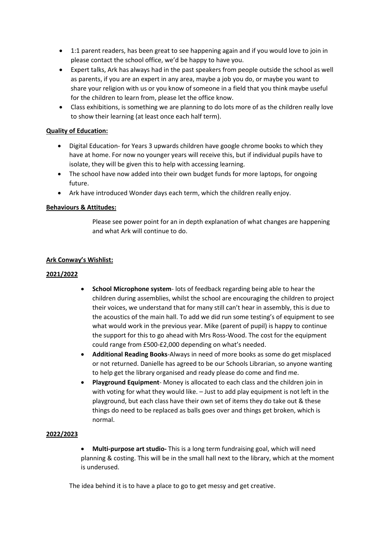- 1:1 parent readers, has been great to see happening again and if you would love to join in please contact the school office, we'd be happy to have you.
- Expert talks, Ark has always had in the past speakers from people outside the school as well as parents, if you are an expert in any area, maybe a job you do, or maybe you want to share your religion with us or you know of someone in a field that you think maybe useful for the children to learn from, please let the office know.
- Class exhibitions, is something we are planning to do lots more of as the children really love to show their learning (at least once each half term).

## **Quality of Education:**

- Digital Education- for Years 3 upwards children have google chrome books to which they have at home. For now no younger years will receive this, but if individual pupils have to isolate, they will be given this to help with accessing learning.
- The school have now added into their own budget funds for more laptops, for ongoing future.
- Ark have introduced Wonder days each term, which the children really enjoy.

## **Behaviours & Attitudes:**

Please see power point for an in depth explanation of what changes are happening and what Ark will continue to do.

## **Ark Conway's Wishlist:**

#### **2021/2022**

- **School Microphone system** lots of feedback regarding being able to hear the children during assemblies, whilst the school are encouraging the children to project their voices, we understand that for many still can't hear in assembly, this is due to the acoustics of the main hall. To add we did run some testing's of equipment to see what would work in the previous year. Mike (parent of pupil) is happy to continue the support for this to go ahead with Mrs Ross-Wood. The cost for the equipment could range from £500-£2,000 depending on what's needed.
- **Additional Reading Books**-Always in need of more books as some do get misplaced or not returned. Danielle has agreed to be our Schools Librarian, so anyone wanting to help get the library organised and ready please do come and find me.
- **Playground Equipment** Money is allocated to each class and the children join in with voting for what they would like. – Just to add play equipment is not left in the playground, but each class have their own set of items they do take out & these things do need to be replaced as balls goes over and things get broken, which is normal.

#### **2022/2023**

• **Multi-purpose art studio-** This is a long term fundraising goal, which will need planning & costing. This will be in the small hall next to the library, which at the moment is underused.

The idea behind it is to have a place to go to get messy and get creative.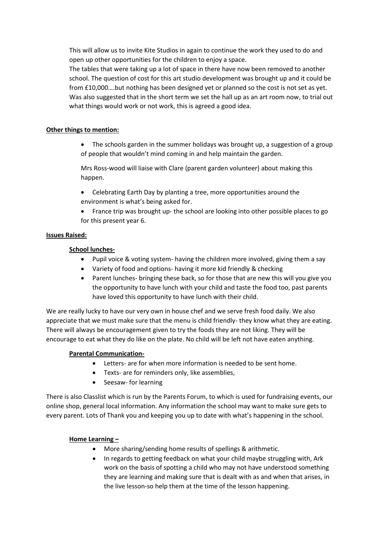This will allow us to invite Kite Studios in again to continue the work they used to do and open up other opportunities for the children to enjoy a space.

The tables that were taking up a lot of space in there have now been removed to another school. The question of cost for this art studio development was brought up and it could be from £10,000….but nothing has been designed yet or planned so the cost is not set as yet. Was also suggested that in the short term we set the hall up as an art room now, to trial out what things would work or not work, this is agreed a good idea.

## **Other things to mention:**

• The schools garden in the summer holidays was brought up, a suggestion of a group of people that wouldn't mind coming in and help maintain the garden.

Mrs Ross-wood will liaise with Clare (parent garden volunteer) about making this happen.

- Celebrating Earth Day by planting a tree, more opportunities around the environment is what's being asked for.
- France trip was brought up- the school are looking into other possible places to go for this present year 6.

## **Issues Raised:**

## **School lunches-**

- Pupil voice & voting system- having the children more involved, giving them a say
- Variety of food and options- having it more kid friendly & checking
- Parent lunches- bringing these back, so for those that are new this will you give you the opportunity to have lunch with your child and taste the food too, past parents have loved this opportunity to have lunch with their child.

We are really lucky to have our very own in house chef and we serve fresh food daily. We also appreciate that we must make sure that the menu is child friendly- they know what they are eating. There will always be encouragement given to try the foods they are not liking. They will be encourage to eat what they do like on the plate. No child will be left not have eaten anything.

# **Parental Communication-**

- Letters- are for when more information is needed to be sent home.
- Texts- are for reminders only, like assemblies,
- Seesaw- for learning

There is also Classlist which is run by the Parents Forum, to which is used for fundraising events, our online shop, general local information. Any information the school may want to make sure gets to every parent. Lots of Thank you and keeping you up to date with what's happening in the school.

#### **Home Learning –**

- More sharing/sending home results of spellings & arithmetic.
- In regards to getting feedback on what your child maybe struggling with, Ark work on the basis of spotting a child who may not have understood something they are learning and making sure that is dealt with as and when that arises, in the live lesson-so help them at the time of the lesson happening.